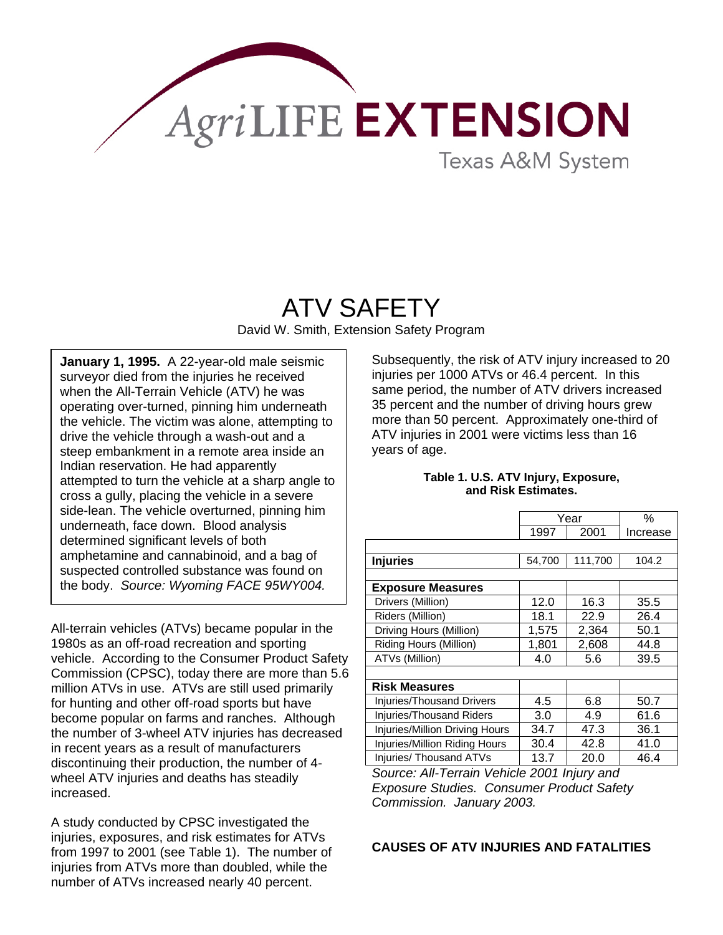

## **Texas A&M System**

# ATV SAFETY

David W. Smith, Extension Safety Program

**January 1, 1995.** A 22-year-old male seismic surveyor died from the injuries he received when the All-Terrain Vehicle (ATV) he was operating over-turned, pinning him underneath the vehicle. The victim was alone, attempting to drive the vehicle through a wash-out and a steep embankment in a remote area inside an Indian reservation. He had apparently attempted to turn the vehicle at a sharp angle to cross a gully, placing the vehicle in a severe side-lean. The vehicle overturned, pinning him underneath, face down. Blood analysis determined significant levels of both amphetamine and cannabinoid, and a bag of suspected controlled substance was found on the body. *Source: Wyoming FACE 95WY004.* 

All-terrain vehicles (ATVs) became popular in the 1980s as an off-road recreation and sporting vehicle. According to the Consumer Product Safety Commission (CPSC), today there are more than 5.6 million ATVs in use. ATVs are still used primarily for hunting and other off-road sports but have become popular on farms and ranches. Although the number of 3-wheel ATV injuries has decreased in recent years as a result of manufacturers discontinuing their production, the number of 4 wheel ATV injuries and deaths has steadily increased.

A study conducted by CPSC investigated the injuries, exposures, and risk estimates for ATVs from 1997 to 2001 (see Table 1). The number of injuries from ATVs more than doubled, while the number of ATVs increased nearly 40 percent.

Subsequently, the risk of ATV injury increased to 20 injuries per 1000 ATVs or 46.4 percent. In this same period, the number of ATV drivers increased 35 percent and the number of driving hours grew more than 50 percent. Approximately one-third of ATV injuries in 2001 were victims less than 16 years of age.

#### **Table 1. U.S. ATV Injury, Exposure, and Risk Estimates.**

|                                  | Year   |         | %        |
|----------------------------------|--------|---------|----------|
|                                  | 1997   | 2001    | Increase |
|                                  |        |         |          |
| <b>Injuries</b>                  | 54,700 | 111,700 | 104.2    |
|                                  |        |         |          |
| <b>Exposure Measures</b>         |        |         |          |
| Drivers (Million)                | 12.0   | 16.3    | 35.5     |
| Riders (Million)                 | 18.1   | 22.9    | 26.4     |
| Driving Hours (Million)          | 1,575  | 2,364   | 50.1     |
| Riding Hours (Million)           | 1,801  | 2,608   | 44.8     |
| ATVs (Million)                   | 4.0    | 5.6     | 39.5     |
|                                  |        |         |          |
| <b>Risk Measures</b>             |        |         |          |
| <b>Injuries/Thousand Drivers</b> | 4.5    | 6.8     | 50.7     |
| <b>Injuries/Thousand Riders</b>  | 3.0    | 4.9     | 61.6     |
| Injuries/Million Driving Hours   | 34.7   | 47.3    | 36.1     |
| Injuries/Million Riding Hours    | 30.4   | 42.8    | 41.0     |
| Injuries/ Thousand ATVs          | 13.7   | 20.0    | 46.4     |

*Source: All-Terrain Vehicle 2001 Injury and Exposure Studies. Consumer Product Safety Commission. January 2003.* 

#### **CAUSES OF ATV INJURIES AND FATALITIES**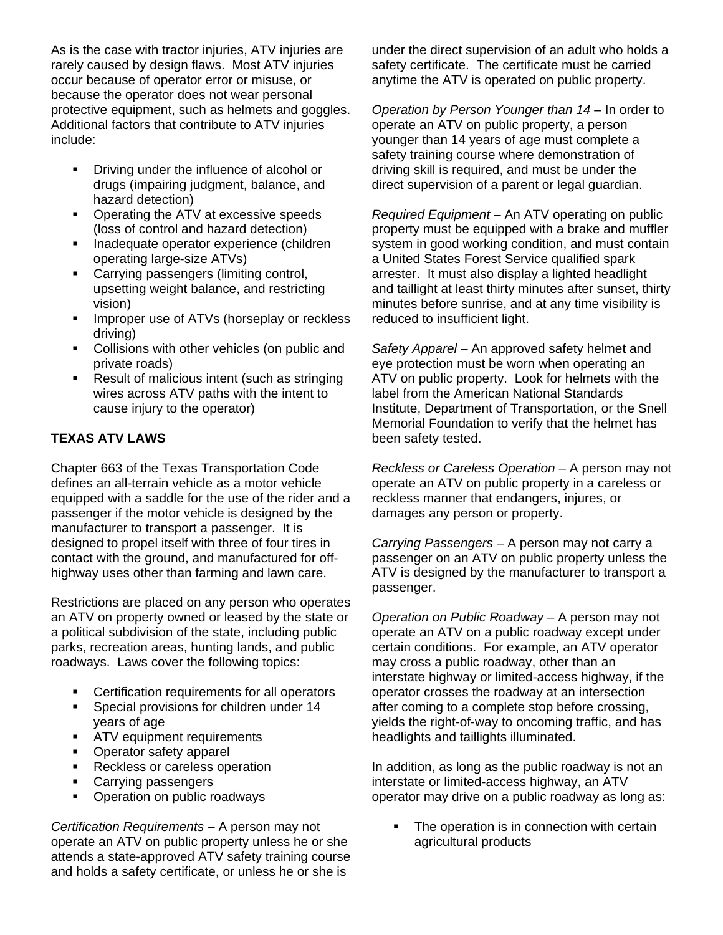As is the case with tractor injuries, ATV injuries are rarely caused by design flaws. Most ATV injuries occur because of operator error or misuse, or because the operator does not wear personal protective equipment, such as helmets and goggles. Additional factors that contribute to ATV injuries include:

- **•** Driving under the influence of alcohol or drugs (impairing judgment, balance, and hazard detection)
- Operating the ATV at excessive speeds (loss of control and hazard detection)
- **Inadequate operator experience (children** operating large-size ATVs)
- **EXEC** Carrying passengers (limiting control, upsetting weight balance, and restricting vision)
- **IMPROPER 1999 INCOCO EXCOCO EXCOCO EXCOCO EXCOCO EXCOCO EXCOCO EXCOCO EXCOCO** driving)
- **Collisions with other vehicles (on public and** private roads)
- Result of malicious intent (such as stringing wires across ATV paths with the intent to cause injury to the operator)

### **TEXAS ATV LAWS**

Chapter 663 of the Texas Transportation Code defines an all-terrain vehicle as a motor vehicle equipped with a saddle for the use of the rider and a passenger if the motor vehicle is designed by the manufacturer to transport a passenger. It is designed to propel itself with three of four tires in contact with the ground, and manufactured for offhighway uses other than farming and lawn care.

Restrictions are placed on any person who operates an ATV on property owned or leased by the state or a political subdivision of the state, including public parks, recreation areas, hunting lands, and public roadways. Laws cover the following topics:

- **EXEC** Certification requirements for all operators
- **Special provisions for children under 14** years of age
- **ATV** equipment requirements
- Operator safety apparel
- Reckless or careless operation
- Carrying passengers
- Operation on public roadways

*Certification Requirements* – A person may not operate an ATV on public property unless he or she attends a state-approved ATV safety training course and holds a safety certificate, or unless he or she is

under the direct supervision of an adult who holds a safety certificate. The certificate must be carried anytime the ATV is operated on public property.

*Operation by Person Younger than 14* – In order to operate an ATV on public property, a person younger than 14 years of age must complete a safety training course where demonstration of driving skill is required, and must be under the direct supervision of a parent or legal guardian.

*Required Equipment* – An ATV operating on public property must be equipped with a brake and muffler system in good working condition, and must contain a United States Forest Service qualified spark arrester. It must also display a lighted headlight and taillight at least thirty minutes after sunset, thirty minutes before sunrise, and at any time visibility is reduced to insufficient light.

*Safety Apparel* – An approved safety helmet and eye protection must be worn when operating an ATV on public property. Look for helmets with the label from the American National Standards Institute, Department of Transportation, or the Snell Memorial Foundation to verify that the helmet has been safety tested.

*Reckless or Careless Operation* – A person may not operate an ATV on public property in a careless or reckless manner that endangers, injures, or damages any person or property.

*Carrying Passengers* – A person may not carry a passenger on an ATV on public property unless the ATV is designed by the manufacturer to transport a passenger.

*Operation on Public Roadway* – A person may not operate an ATV on a public roadway except under certain conditions. For example, an ATV operator may cross a public roadway, other than an interstate highway or limited-access highway, if the operator crosses the roadway at an intersection after coming to a complete stop before crossing, yields the right-of-way to oncoming traffic, and has headlights and taillights illuminated.

In addition, as long as the public roadway is not an interstate or limited-access highway, an ATV operator may drive on a public roadway as long as:

• The operation is in connection with certain agricultural products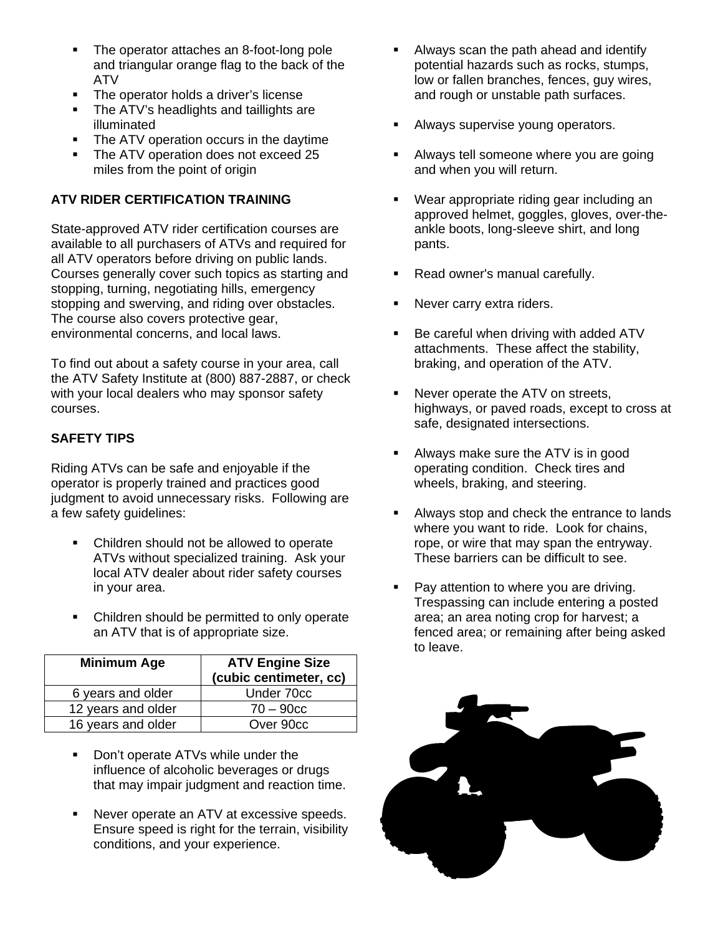- The operator attaches an 8-foot-long pole and triangular orange flag to the back of the ATV
- The operator holds a driver's license
- The ATV's headlights and taillights are illuminated
- The ATV operation occurs in the daytime
- The ATV operation does not exceed 25 miles from the point of origin

#### **ATV RIDER CERTIFICATION TRAINING**

State-approved ATV rider certification courses are available to all purchasers of ATVs and required for all ATV operators before driving on public lands. Courses generally cover such topics as starting and stopping, turning, negotiating hills, emergency stopping and swerving, and riding over obstacles. The course also covers protective gear, environmental concerns, and local laws.

To find out about a safety course in your area, call the ATV Safety Institute at (800) 887-2887, or check with your local dealers who may sponsor safety courses.

#### **SAFETY TIPS**

Riding ATVs can be safe and enjoyable if the operator is properly trained and practices good judgment to avoid unnecessary risks. Following are a few safety guidelines:

- Children should not be allowed to operate ATVs without specialized training. Ask your local ATV dealer about rider safety courses in your area.
- Children should be permitted to only operate an ATV that is of appropriate size.

| <b>Minimum Age</b> | <b>ATV Engine Size</b><br>(cubic centimeter, cc) |  |
|--------------------|--------------------------------------------------|--|
| 6 years and older  | Under 70cc                                       |  |
| 12 years and older | $70 - 90c$                                       |  |
| 16 years and older | Over 90cc                                        |  |

- **•** Don't operate ATVs while under the influence of alcoholic beverages or drugs that may impair judgment and reaction time.
- **Never operate an ATV at excessive speeds.** Ensure speed is right for the terrain, visibility conditions, and your experience.
- Always scan the path ahead and identify potential hazards such as rocks, stumps, low or fallen branches, fences, guy wires, and rough or unstable path surfaces.
- Always supervise young operators.
- Always tell someone where you are going and when you will return.
- Wear appropriate riding gear including an approved helmet, goggles, gloves, over-theankle boots, long-sleeve shirt, and long pants.
- Read owner's manual carefully.
- Never carry extra riders.
- Be careful when driving with added ATV attachments. These affect the stability, braking, and operation of the ATV.
- Never operate the ATV on streets, highways, or paved roads, except to cross at safe, designated intersections.
- Always make sure the ATV is in good operating condition. Check tires and wheels, braking, and steering.
- Always stop and check the entrance to lands where you want to ride. Look for chains, rope, or wire that may span the entryway. These barriers can be difficult to see.
- Pay attention to where you are driving. Trespassing can include entering a posted area; an area noting crop for harvest; a fenced area; or remaining after being asked to leave.